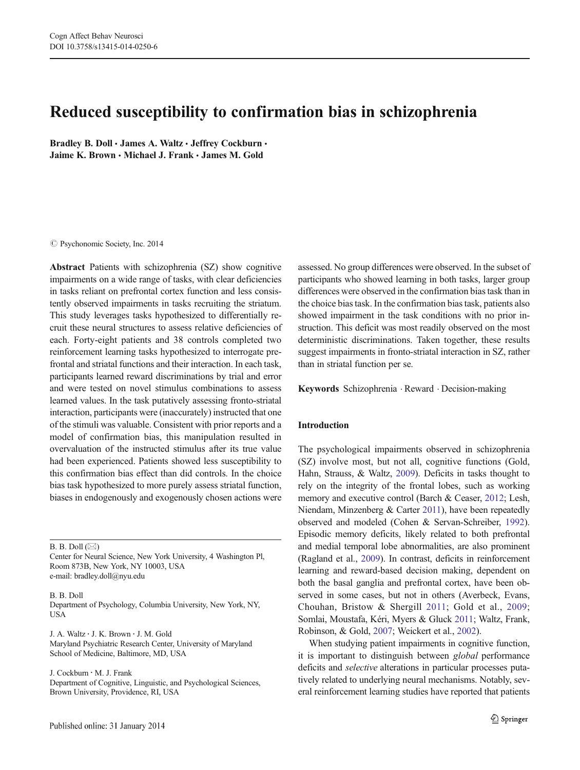# Reduced susceptibility to confirmation bias in schizophrenia

Bradley B. Doll . James A. Waltz . Jeffrey Cockburn . Jaime K. Brown · Michael J. Frank · James M. Gold

 $\oslash$  Psychonomic Society, Inc. 2014

Abstract Patients with schizophrenia (SZ) show cognitive impairments on a wide range of tasks, with clear deficiencies in tasks reliant on prefrontal cortex function and less consistently observed impairments in tasks recruiting the striatum. This study leverages tasks hypothesized to differentially recruit these neural structures to assess relative deficiencies of each. Forty-eight patients and 38 controls completed two reinforcement learning tasks hypothesized to interrogate prefrontal and striatal functions and their interaction. In each task, participants learned reward discriminations by trial and error and were tested on novel stimulus combinations to assess learned values. In the task putatively assessing fronto-striatal interaction, participants were (inaccurately) instructed that one of the stimuli was valuable. Consistent with prior reports and a model of confirmation bias, this manipulation resulted in overvaluation of the instructed stimulus after its true value had been experienced. Patients showed less susceptibility to this confirmation bias effect than did controls. In the choice bias task hypothesized to more purely assess striatal function, biases in endogenously and exogenously chosen actions were

B. B. Doll  $(\boxtimes)$ 

Center for Neural Science, New York University, 4 Washington Pl, Room 873B, New York, NY 10003, USA e-mail: bradley.doll@nyu.edu

B. B. Doll

Department of Psychology, Columbia University, New York, NY, **USA** 

J. A. Waltz : J. K. Brown : J. M. Gold Maryland Psychiatric Research Center, University of Maryland School of Medicine, Baltimore, MD, USA

J. Cockburn : M. J. Frank

Department of Cognitive, Linguistic, and Psychological Sciences, Brown University, Providence, RI, USA

assessed. No group differences were observed. In the subset of participants who showed learning in both tasks, larger group differences were observed in the confirmation bias task than in the choice bias task. In the confirmation bias task, patients also showed impairment in the task conditions with no prior instruction. This deficit was most readily observed on the most deterministic discriminations. Taken together, these results suggest impairments in fronto-striatal interaction in SZ, rather than in striatal function per se.

Keywords Schizophrenia . Reward . Decision-making

# Introduction

The psychological impairments observed in schizophrenia (SZ) involve most, but not all, cognitive functions (Gold, Hahn, Strauss, & Waltz, [2009](#page-13-0)). Deficits in tasks thought to rely on the integrity of the frontal lobes, such as working memory and executive control (Barch & Ceaser, [2012;](#page-12-0) Lesh, Niendam, Minzenberg & Carter [2011](#page-13-0)), have been repeatedly observed and modeled (Cohen & Servan-Schreiber, [1992\)](#page-12-0). Episodic memory deficits, likely related to both prefrontal and medial temporal lobe abnormalities, are also prominent (Ragland et al., [2009](#page-13-0)). In contrast, deficits in reinforcement learning and reward-based decision making, dependent on both the basal ganglia and prefrontal cortex, have been observed in some cases, but not in others (Averbeck, Evans, Chouhan, Bristow & Shergill [2011;](#page-12-0) Gold et al., [2009;](#page-13-0) Somlai, Moustafa, Kéri, Myers & Gluck [2011](#page-13-0); Waltz, Frank, Robinson, & Gold, [2007;](#page-13-0) Weickert et al., [2002](#page-13-0)).

When studying patient impairments in cognitive function, it is important to distinguish between global performance deficits and selective alterations in particular processes putatively related to underlying neural mechanisms. Notably, several reinforcement learning studies have reported that patients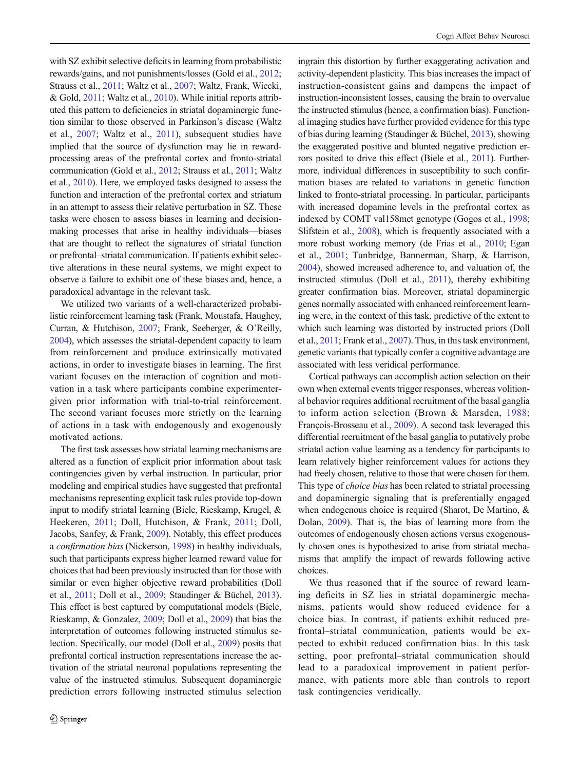with SZ exhibit selective deficits in learning from probabilistic rewards/gains, and not punishments/losses (Gold et al., [2012](#page-13-0); Strauss et al., [2011;](#page-13-0) Waltz et al., [2007;](#page-13-0) Waltz, Frank, Wiecki, & Gold, [2011;](#page-13-0) Waltz et al., [2010\)](#page-13-0). While initial reports attributed this pattern to deficiencies in striatal dopaminergic function similar to those observed in Parkinson's disease (Waltz et al., [2007;](#page-13-0) Waltz et al., [2011](#page-13-0)), subsequent studies have implied that the source of dysfunction may lie in rewardprocessing areas of the prefrontal cortex and fronto-striatal communication (Gold et al., [2012;](#page-13-0) Strauss et al., [2011](#page-13-0); Waltz et al., [2010\)](#page-13-0). Here, we employed tasks designed to assess the function and interaction of the prefrontal cortex and striatum in an attempt to assess their relative perturbation in SZ. These tasks were chosen to assess biases in learning and decisionmaking processes that arise in healthy individuals—biases that are thought to reflect the signatures of striatal function or prefrontal–striatal communication. If patients exhibit selective alterations in these neural systems, we might expect to observe a failure to exhibit one of these biases and, hence, a paradoxical advantage in the relevant task.

We utilized two variants of a well-characterized probabilistic reinforcement learning task (Frank, Moustafa, Haughey, Curran, & Hutchison, [2007;](#page-12-0) Frank, Seeberger, & O'Reilly, [2004\)](#page-12-0), which assesses the striatal-dependent capacity to learn from reinforcement and produce extrinsically motivated actions, in order to investigate biases in learning. The first variant focuses on the interaction of cognition and motivation in a task where participants combine experimentergiven prior information with trial-to-trial reinforcement. The second variant focuses more strictly on the learning of actions in a task with endogenously and exogenously motivated actions.

The first task assesses how striatal learning mechanisms are altered as a function of explicit prior information about task contingencies given by verbal instruction. In particular, prior modeling and empirical studies have suggested that prefrontal mechanisms representing explicit task rules provide top-down input to modify striatal learning (Biele, Rieskamp, Krugel, & Heekeren, [2011](#page-12-0); Doll, Hutchison, & Frank, [2011](#page-12-0); Doll, Jacobs, Sanfey, & Frank, [2009](#page-12-0)). Notably, this effect produces <sup>a</sup> confirmation bias (Nickerson, [1998\)](#page-13-0) in healthy individuals, such that participants express higher learned reward value for choices that had been previously instructed than for those with similar or even higher objective reward probabilities (Doll et al., [2011;](#page-12-0) Doll et al., [2009;](#page-12-0) Staudinger & Büchel, [2013\)](#page-13-0). This effect is best captured by computational models (Biele, Rieskamp, & Gonzalez, [2009;](#page-12-0) Doll et al., [2009\)](#page-12-0) that bias the interpretation of outcomes following instructed stimulus selection. Specifically, our model (Doll et al., [2009](#page-12-0)) posits that prefrontal cortical instruction representations increase the activation of the striatal neuronal populations representing the value of the instructed stimulus. Subsequent dopaminergic prediction errors following instructed stimulus selection

ingrain this distortion by further exaggerating activation and activity-dependent plasticity. This bias increases the impact of instruction-consistent gains and dampens the impact of instruction-inconsistent losses, causing the brain to overvalue the instructed stimulus (hence, a confirmation bias). Functional imaging studies have further provided evidence for this type of bias during learning (Staudinger & Büchel, [2013](#page-13-0)), showing the exaggerated positive and blunted negative prediction errors posited to drive this effect (Biele et al., [2011\)](#page-12-0). Furthermore, individual differences in susceptibility to such confirmation biases are related to variations in genetic function linked to fronto-striatal processing. In particular, participants with increased dopamine levels in the prefrontal cortex as indexed by COMT val158met genotype (Gogos et al., [1998;](#page-13-0) Slifstein et al., [2008\)](#page-13-0), which is frequently associated with a more robust working memory (de Frias et al., [2010](#page-12-0); Egan et al., [2001;](#page-12-0) Tunbridge, Bannerman, Sharp, & Harrison, [2004\)](#page-13-0), showed increased adherence to, and valuation of, the instructed stimulus (Doll et al., [2011\)](#page-12-0), thereby exhibiting greater confirmation bias. Moreover, striatal dopaminergic genes normally associated with enhanced reinforcement learning were, in the context of this task, predictive of the extent to which such learning was distorted by instructed priors (Doll et al., [2011;](#page-12-0) Frank et al., [2007\)](#page-12-0). Thus, in this task environment, genetic variants that typically confer a cognitive advantage are associated with less veridical performance.

Cortical pathways can accomplish action selection on their own when external events trigger responses, whereas volitional behavior requires additional recruitment of the basal ganglia to inform action selection (Brown & Marsden, [1988;](#page-12-0) François-Brosseau et al., [2009](#page-13-0)). A second task leveraged this differential recruitment of the basal ganglia to putatively probe striatal action value learning as a tendency for participants to learn relatively higher reinforcement values for actions they had freely chosen, relative to those that were chosen for them. This type of choice bias has been related to striatal processing and dopaminergic signaling that is preferentially engaged when endogenous choice is required (Sharot, De Martino, & Dolan, [2009](#page-13-0)). That is, the bias of learning more from the outcomes of endogenously chosen actions versus exogenously chosen ones is hypothesized to arise from striatal mechanisms that amplify the impact of rewards following active choices.

We thus reasoned that if the source of reward learning deficits in SZ lies in striatal dopaminergic mechanisms, patients would show reduced evidence for a choice bias. In contrast, if patients exhibit reduced prefrontal–striatal communication, patients would be expected to exhibit reduced confirmation bias. In this task setting, poor prefrontal–striatal communication should lead to a paradoxical improvement in patient performance, with patients more able than controls to report task contingencies veridically.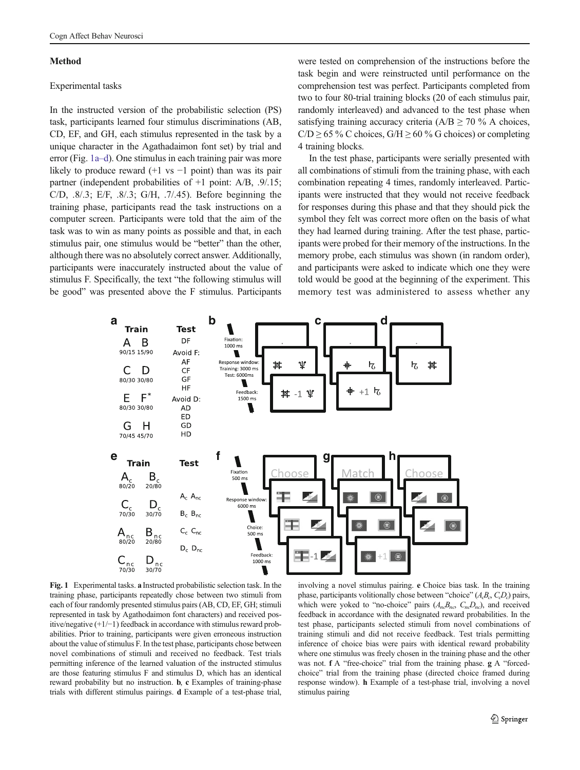### <span id="page-2-0"></span>Method

## Experimental tasks

In the instructed version of the probabilistic selection (PS) task, participants learned four stimulus discriminations (AB, CD, EF, and GH, each stimulus represented in the task by a unique character in the Agathadaimon font set) by trial and error (Fig. 1a–d). One stimulus in each training pair was more likely to produce reward (+1 vs −1 point) than was its pair partner (independent probabilities of +1 point: A/B, .9/.15; C/D, .8/.3; E/F, .8/.3; G/H, .7/.45). Before beginning the training phase, participants read the task instructions on a computer screen. Participants were told that the aim of the task was to win as many points as possible and that, in each stimulus pair, one stimulus would be "better" than the other, although there was no absolutely correct answer. Additionally, participants were inaccurately instructed about the value of stimulus F. Specifically, the text "the following stimulus will be good" was presented above the F stimulus. Participants

were tested on comprehension of the instructions before the task begin and were reinstructed until performance on the comprehension test was perfect. Participants completed from two to four 80-trial training blocks (20 of each stimulus pair, randomly interleaved) and advanced to the test phase when satisfying training accuracy criteria ( $A/B \ge 70$  % A choices,  $C/D \ge 65\%$  C choices,  $G/H \ge 60\%$  G choices) or completing 4 training blocks.

In the test phase, participants were serially presented with all combinations of stimuli from the training phase, with each combination repeating 4 times, randomly interleaved. Participants were instructed that they would not receive feedback for responses during this phase and that they should pick the symbol they felt was correct more often on the basis of what they had learned during training. After the test phase, participants were probed for their memory of the instructions. In the memory probe, each stimulus was shown (in random order), and participants were asked to indicate which one they were told would be good at the beginning of the experiment. This memory test was administered to assess whether any



Fig. 1 Experimental tasks. a Instructed probabilistic selection task. In the training phase, participants repeatedly chose between two stimuli from each of four randomly presented stimulus pairs (AB, CD, EF, GH; stimuli represented in task by Agathodaimon font characters) and received positive/negative (+1/−1) feedback in accordance with stimulus reward probabilities. Prior to training, participants were given erroneous instruction about the value of stimulus F. In the test phase, participants chose between novel combinations of stimuli and received no feedback. Test trials permitting inference of the learned valuation of the instructed stimulus are those featuring stimulus F and stimulus D, which has an identical reward probability but no instruction. b, c Examples of training-phase trials with different stimulus pairings. d Example of a test-phase trial,

involving a novel stimulus pairing. e Choice bias task. In the training phase, participants volitionally chose between "choice"  $(A<sub>c</sub>B<sub>c</sub>, C<sub>c</sub>D<sub>c</sub>)$  pairs, which were yoked to "no-choice" pairs  $(A<sub>n</sub>,B<sub>n</sub>, C<sub>n</sub>,D<sub>n</sub>)$ , and received feedback in accordance with the designated reward probabilities. In the test phase, participants selected stimuli from novel combinations of training stimuli and did not receive feedback. Test trials permitting inference of choice bias were pairs with identical reward probability where one stimulus was freely chosen in the training phase and the other was not. f A "free-choice" trial from the training phase. g A "forcedchoice" trial from the training phase (directed choice framed during response window). h Example of a test-phase trial, involving a novel stimulus pairing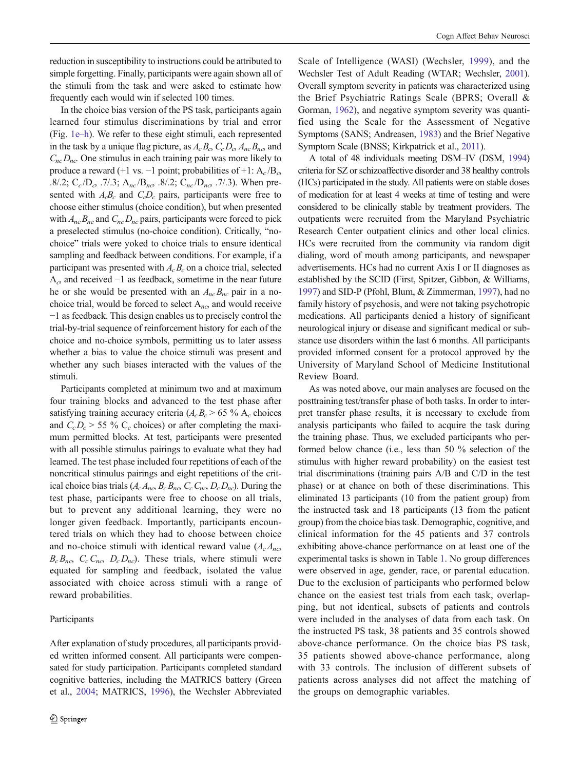reduction in susceptibility to instructions could be attributed to simple forgetting. Finally, participants were again shown all of the stimuli from the task and were asked to estimate how frequently each would win if selected 100 times.

In the choice bias version of the PS task, participants again learned four stimulus discriminations by trial and error (Fig. [1e](#page-2-0)–h). We refer to these eight stimuli, each represented in the task by a unique flag picture, as  $A_c B_c C_c D_c A_{nc} B_{nc}$  and  $C_{nc}D_{nc}$ . One stimulus in each training pair was more likely to produce a reward (+1 vs. –1 point; probabilities of +1:  $A_c/B_c$ .8/.2;  $C_c/D_c$ , .7/.3;  $A_{nc}/B_{nc}$ , .8/.2;  $C_{nc}/D_{nc}$ , .7/.3). When presented with  $A_cB_c$  and  $C_cD_c$  pairs, participants were free to choose either stimulus (choice condition), but when presented with  $A_{nc}B_{nc}$  and  $C_{nc}D_{nc}$  pairs, participants were forced to pick a preselected stimulus (no-choice condition). Critically, "nochoice" trials were yoked to choice trials to ensure identical sampling and feedback between conditions. For example, if a participant was presented with  $A<sub>c</sub>B<sub>c</sub>$  on a choice trial, selected  $A_c$  and received  $-1$  as feedback, sometime in the near future he or she would be presented with an  $A_{nc}B_{nc}$  pair in a nochoice trial, would be forced to select  $A_{nc}$  and would receive −1 as feedback. This design enables us to precisely control the trial-by-trial sequence of reinforcement history for each of the choice and no-choice symbols, permitting us to later assess whether a bias to value the choice stimuli was present and whether any such biases interacted with the values of the stimuli.

Participants completed at minimum two and at maximum four training blocks and advanced to the test phase after satisfying training accuracy criteria  $(A<sub>c</sub>B<sub>c</sub> > 65 %$  A<sub>c</sub> choices and  $C_cD_c$  > 55 %  $C_c$  choices) or after completing the maximum permitted blocks. At test, participants were presented with all possible stimulus pairings to evaluate what they had learned. The test phase included four repetitions of each of the noncritical stimulus pairings and eight repetitions of the critical choice bias trials  $(A_cA_{nc}, B_cB_{nc}, C_cC_{nc}, D_cD_{nc})$ . During the test phase, participants were free to choose on all trials, but to prevent any additional learning, they were no longer given feedback. Importantly, participants encountered trials on which they had to choose between choice and no-choice stimuli with identical reward value  $(A_cA_{nc})$  $B_c B_{nc}$ ,  $C_c C_{nc}$ ,  $D_c D_{nc}$ ). These trials, where stimuli were equated for sampling and feedback, isolated the value associated with choice across stimuli with a range of reward probabilities.

## Participants

After explanation of study procedures, all participants provided written informed consent. All participants were compensated for study participation. Participants completed standard cognitive batteries, including the MATRICS battery (Green et al., [2004](#page-13-0); MATRICS, [1996](#page-13-0)), the Wechsler Abbreviated Scale of Intelligence (WASI) (Wechsler, [1999](#page-13-0)), and the Wechsler Test of Adult Reading (WTAR; Wechsler, [2001\)](#page-13-0). Overall symptom severity in patients was characterized using the Brief Psychiatric Ratings Scale (BPRS; Overall & Gorman, [1962](#page-13-0)), and negative symptom severity was quantified using the Scale for the Assessment of Negative Symptoms (SANS; Andreasen, [1983\)](#page-12-0) and the Brief Negative Symptom Scale (BNSS; Kirkpatrick et al., [2011](#page-13-0)).

A total of 48 individuals meeting DSM–IV (DSM, [1994](#page-12-0)) criteria for SZ or schizoaffective disorder and 38 healthy controls (HCs) participated in the study. All patients were on stable doses of medication for at least 4 weeks at time of testing and were considered to be clinically stable by treatment providers. The outpatients were recruited from the Maryland Psychiatric Research Center outpatient clinics and other local clinics. HCs were recruited from the community via random digit dialing, word of mouth among participants, and newspaper advertisements. HCs had no current Axis I or II diagnoses as established by the SCID (First, Spitzer, Gibbon, & Williams, [1997\)](#page-12-0) and SID-P (Pfohl, Blum, & Zimmerman, [1997](#page-13-0)), had no family history of psychosis, and were not taking psychotropic medications. All participants denied a history of significant neurological injury or disease and significant medical or substance use disorders within the last 6 months. All participants provided informed consent for a protocol approved by the University of Maryland School of Medicine Institutional Review Board.

As was noted above, our main analyses are focused on the posttraining test/transfer phase of both tasks. In order to interpret transfer phase results, it is necessary to exclude from analysis participants who failed to acquire the task during the training phase. Thus, we excluded participants who performed below chance (i.e., less than 50 % selection of the stimulus with higher reward probability) on the easiest test trial discriminations (training pairs A/B and C/D in the test phase) or at chance on both of these discriminations. This eliminated 13 participants (10 from the patient group) from the instructed task and 18 participants (13 from the patient group) from the choice bias task. Demographic, cognitive, and clinical information for the 45 patients and 37 controls exhibiting above-chance performance on at least one of the experimental tasks is shown in Table [1.](#page-4-0) No group differences were observed in age, gender, race, or parental education. Due to the exclusion of participants who performed below chance on the easiest test trials from each task, overlapping, but not identical, subsets of patients and controls were included in the analyses of data from each task. On the instructed PS task, 38 patients and 35 controls showed above-chance performance. On the choice bias PS task, 35 patients showed above-chance performance, along with 33 controls. The inclusion of different subsets of patients across analyses did not affect the matching of the groups on demographic variables.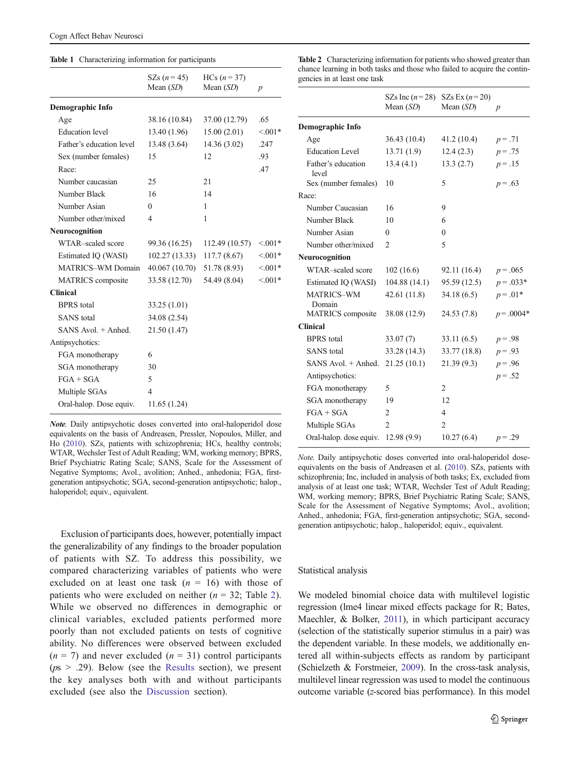#### <span id="page-4-0"></span>Table 1 Characterizing information for participants

|                          | SZs $(n = 45)$<br>Mean $(SD)$ | $HCs (n = 37)$<br>Mean $(SD)$ | $\boldsymbol{p}$ |
|--------------------------|-------------------------------|-------------------------------|------------------|
| <b>Demographic Info</b>  |                               |                               |                  |
| Age                      | 38.16 (10.84)                 | 37.00 (12.79)                 | .65              |
| <b>Education</b> level   | 13.40 (1.96)                  | 15.00(2.01)                   | $< 0.01*$        |
| Father's education level | 13.48 (3.64)                  | 14.36 (3.02)                  | .247             |
| Sex (number females)     | 15                            | 12                            | .93              |
| Race:                    |                               |                               | .47              |
| Number caucasian         | 25                            | 21                            |                  |
| Number Black             | 16                            | 14                            |                  |
| Number Asian             | $\theta$                      | 1                             |                  |
| Number other/mixed       | $\overline{4}$                | 1                             |                  |
| <b>Neurocognition</b>    |                               |                               |                  |
| WTAR-scaled score        | 99.36 (16.25)                 | 112.49 (10.57)                | $< 001*$         |
| Estimated IQ (WASI)      | 102.27 (13.33)                | 117.7(8.67)                   | $< 0.01*$        |
| <b>MATRICS-WM Domain</b> | 40.067 (10.70)                | 51.78 (8.93)                  | $< 001*$         |
| MATRICS composite        | 33.58 (12.70)                 | 54.49 (8.04)                  | $< 0.01*$        |
| <b>Clinical</b>          |                               |                               |                  |
| <b>BPRS</b> total        | 33.25 (1.01)                  |                               |                  |
| <b>SANS</b> total        | 34.08 (2.54)                  |                               |                  |
| $SANS$ Avol. $+$ Anhed.  | 21.50 (1.47)                  |                               |                  |
| Antipsychotics:          |                               |                               |                  |
| FGA monotherapy          | 6                             |                               |                  |
| SGA monotherapy          | 30                            |                               |                  |
| $FGA + SGA$              | 5                             |                               |                  |
| Multiple SGAs            | 4                             |                               |                  |
| Oral-halop. Dose equiv.  | 11.65 (1.24)                  |                               |                  |

Note. Daily antipsychotic doses converted into oral-haloperidol dose equivalents on the basis of Andreasen, Pressler, Nopoulos, Miller, and Ho ([2010](#page-12-0)). SZs, patients with schizophrenia; HCs, healthy controls; WTAR, Wechsler Test of Adult Reading; WM, working memory; BPRS, Brief Psychiatric Rating Scale; SANS, Scale for the Assessment of Negative Symptoms; Avol., avolition; Anhed., anhedonia; FGA, firstgeneration antipsychotic; SGA, second-generation antipsychotic; halop., haloperidol; equiv., equivalent.

Exclusion of participants does, however, potentially impact the generalizability of any findings to the broader population of patients with SZ. To address this possibility, we compared characterizing variables of patients who were excluded on at least one task  $(n = 16)$  with those of patients who were excluded on neither  $(n = 32;$  Table 2). While we observed no differences in demographic or clinical variables, excluded patients performed more poorly than not excluded patients on tests of cognitive ability. No differences were observed between excluded  $(n = 7)$  and never excluded  $(n = 31)$  control participants  $(ps > .29)$ . Below (see the [Results](#page-5-0) section), we present the key analyses both with and without participants excluded (see also the [Discussion](#page-9-0) section).

Table 2 Characterizing information for patients who showed greater than chance learning in both tasks and those who failed to acquire the contingencies in at least one task

|                             | SZs Inc $(n=28)$<br>Mean $(SD)$ | SZs Ex $(n=20)$<br>Mean $(SD)$ | $\boldsymbol{p}$ |
|-----------------------------|---------------------------------|--------------------------------|------------------|
| Demographic Info            |                                 |                                |                  |
| Age                         | 36.43 (10.4)                    | 41.2 (10.4)                    | $p = .71$        |
| <b>Education Level</b>      | 13.71(1.9)                      | 12.4(2.3)                      | $p = .75$        |
| Father's education<br>level | 13.4(4.1)                       | 13.3(2.7)                      | $p = .15$        |
| Sex (number females)        | 10                              | 5                              | $p = .63$        |
| Race:                       |                                 |                                |                  |
| Number Caucasian            | 16                              | 9                              |                  |
| Number Black                | 10                              | 6                              |                  |
| Number Asian                | $\theta$                        | $\Omega$                       |                  |
| Number other/mixed          | 2                               | 5                              |                  |
| Neurocognition              |                                 |                                |                  |
| WTAR-scaled score           | 102(16.6)                       | 92.11 (16.4)                   | $p = .065$       |
| Estimated IQ (WASI)         | 104.88(14.1)                    | 95.59 (12.5)                   | $p = .033*$      |
| MATRICS-WM<br>Domain        | 42.61(11.8)                     | 34.18(6.5)                     | $p = .01*$       |
| <b>MATRICS</b> composite    | 38.08 (12.9)                    | 24.53 (7.8)                    | $p = .0004*$     |
| <b>Clinical</b>             |                                 |                                |                  |
| <b>BPRS</b> total           | 33.07(7)                        | 33.11(6.5)                     | $p = .98$        |
| <b>SANS</b> total           | 33.28 (14.3)                    | 33.77 (18.8)                   | $p = .93$        |
| SANS Avol. + Anhed.         | 21.25(10.1)                     | 21.39(9.3)                     | $p = .96$        |
| Antipsychotics:             |                                 |                                | $p = .52$        |
| FGA monotherapy             | 5                               | $\overline{c}$                 |                  |
| SGA monotherapy             | 19                              | 12                             |                  |
| $FGA + SGA$                 | 2                               | 4                              |                  |
| Multiple SGAs               | $\overline{2}$                  | $\overline{2}$                 |                  |
| Oral-halop. dose equiv.     | 12.98(9.9)                      | 10.27(6.4)                     | $p = .29$        |

Note. Daily antipsychotic doses converted into oral-haloperidol doseequivalents on the basis of Andreasen et al. ([2010](#page-12-0)). SZs, patients with schizophrenia; Inc, included in analysis of both tasks; Ex, excluded from analysis of at least one task; WTAR, Wechsler Test of Adult Reading; WM, working memory; BPRS, Brief Psychiatric Rating Scale; SANS, Scale for the Assessment of Negative Symptoms; Avol., avolition; Anhed., anhedonia; FGA, first-generation antipsychotic; SGA, secondgeneration antipsychotic; halop., haloperidol; equiv., equivalent.

#### Statistical analysis

We modeled binomial choice data with multilevel logistic regression (lme4 linear mixed effects package for R; Bates, Maechler, & Bolker, [2011\)](#page-12-0), in which participant accuracy (selection of the statistically superior stimulus in a pair) was the dependent variable. In these models, we additionally entered all within-subjects effects as random by participant (Schielzeth & Forstmeier, [2009\)](#page-13-0). In the cross-task analysis, multilevel linear regression was used to model the continuous outcome variable (z-scored bias performance). In this model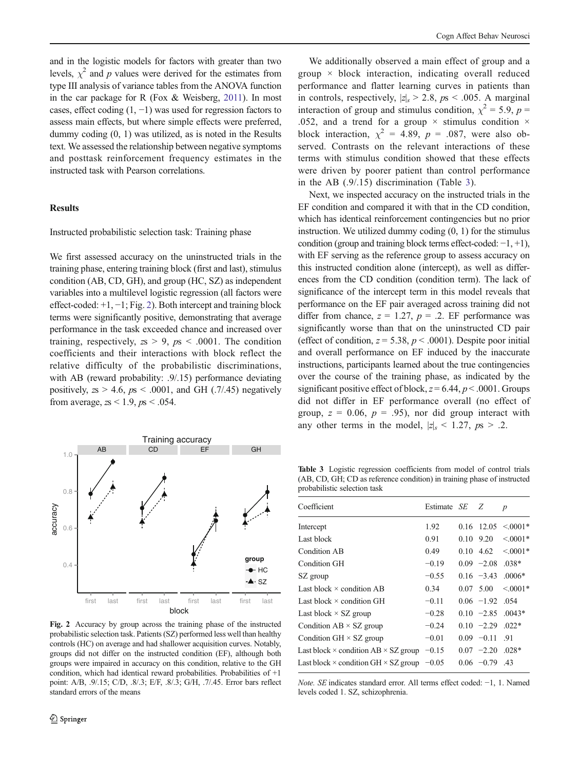<span id="page-5-0"></span>and in the logistic models for factors with greater than two levels,  $\chi^2$  and p values were derived for the estimates from type III analysis of variance tables from the ANOVA function in the car package for R (Fox & Weisberg, [2011](#page-12-0)). In most cases, effect coding  $(1, -1)$  was used for regression factors to assess main effects, but where simple effects were preferred, dummy coding (0, 1) was utilized, as is noted in the Results text. We assessed the relationship between negative symptoms and posttask reinforcement frequency estimates in the instructed task with Pearson correlations.

## **Results**

#### Instructed probabilistic selection task: Training phase

We first assessed accuracy on the uninstructed trials in the training phase, entering training block (first and last), stimulus condition (AB, CD, GH), and group (HC, SZ) as independent variables into a multilevel logistic regression (all factors were effect-coded: +1, −1; Fig. 2). Both intercept and training block terms were significantly positive, demonstrating that average performance in the task exceeded chance and increased over training, respectively,  $zs > 9$ ,  $ps < .0001$ . The condition coefficients and their interactions with block reflect the relative difficulty of the probabilistic discriminations, with AB (reward probability: .9/.15) performance deviating positively,  $z_s > 4.6$ ,  $p_s < .0001$ , and GH (.7/.45) negatively from average,  $zs < 1.9$ ,  $ps < .054$ .



Fig. 2 Accuracy by group across the training phase of the instructed probabilistic selection task. Patients (SZ) performed less well than healthy controls (HC) on average and had shallower acquisition curves. Notably, groups did not differ on the instructed condition (EF), although both groups were impaired in accuracy on this condition, relative to the GH condition, which had identical reward probabilities. Probabilities of +1 point: A/B, .9/.15; C/D, .8/.3; E/F, .8/.3; G/H, .7/.45. Error bars reflect standard errors of the means

We additionally observed a main effect of group and a group  $\times$  block interaction, indicating overall reduced performance and flatter learning curves in patients than in controls, respectively,  $|z|_s > 2.8$ ,  $p_s < .005$ . A marginal interaction of group and stimulus condition,  $\chi^2 = 5.9$ ,  $p =$ .052, and a trend for a group  $\times$  stimulus condition  $\times$ block interaction,  $\chi^2 = 4.89$ ,  $p = .087$ , were also observed. Contrasts on the relevant interactions of these terms with stimulus condition showed that these effects were driven by poorer patient than control performance in the AB (.9/.15) discrimination (Table 3).

Next, we inspected accuracy on the instructed trials in the EF condition and compared it with that in the CD condition, which has identical reinforcement contingencies but no prior instruction. We utilized dummy coding (0, 1) for the stimulus condition (group and training block terms effect-coded: −1, +1), with EF serving as the reference group to assess accuracy on this instructed condition alone (intercept), as well as differences from the CD condition (condition term). The lack of significance of the intercept term in this model reveals that performance on the EF pair averaged across training did not differ from chance,  $z = 1.27$ ,  $p = .2$ . EF performance was significantly worse than that on the uninstructed CD pair (effect of condition,  $z = 5.38$ ,  $p < .0001$ ). Despite poor initial and overall performance on EF induced by the inaccurate instructions, participants learned about the true contingencies over the course of the training phase, as indicated by the significant positive effect of block,  $z = 6.44$ ,  $p < .0001$ . Groups did not differ in EF performance overall (no effect of group,  $z = 0.06$ ,  $p = .95$ ), nor did group interact with any other terms in the model,  $|z|_s < 1.27$ ,  $ps > .2$ .

Table 3 Logistic regression coefficients from model of control trials (AB, CD, GH; CD as reference condition) in training phase of instructed probabilistic selection task

| Coefficient                                                | Estimate SE | - 7.              | $\boldsymbol{p}$ |
|------------------------------------------------------------|-------------|-------------------|------------------|
| Intercept                                                  | 1.92        | 0.16 12.05        | $< 0.001*$       |
| Last block                                                 | 0.91        | $0.10 \quad 9.20$ | $< 0.001*$       |
| Condition AB                                               | 0.49        | $0.10 \quad 4.62$ | $< 0.001*$       |
| Condition GH                                               | $-0.19$     | $0.09 -2.08$      | $.038*$          |
| SZ group                                                   | $-0.55$     | $0.16 -3.43$      | $.0006*$         |
| Last block $\times$ condition AB                           | 0.34        | 0.07, 5.00        | $\leq 0.001*$    |
| Last block $\times$ condition GH                           | $-0.11$     | $0.06$ -1.92 .054 |                  |
| Last block $\times$ SZ group                               | $-0.28$     | $0.10 -2.85$      | $.0043*$         |
| Condition $AB \times SZ$ group                             | $-0.24$     | $0.10 -2.29$      | $.022*$          |
| Condition GH $\times$ SZ group                             | $-0.01$     | $0.09 -0.11$ .91  |                  |
| Last block $\times$ condition AB $\times$ SZ group         | $-0.15$     | $0.07 -2.20$      | $.028*$          |
| Last block $\times$ condition GH $\times$ SZ group $-0.05$ |             | $0.06 -0.79$      | .43              |

Note. SE indicates standard error. All terms effect coded: <sup>−</sup>1, 1. Named levels coded 1. SZ, schizophrenia.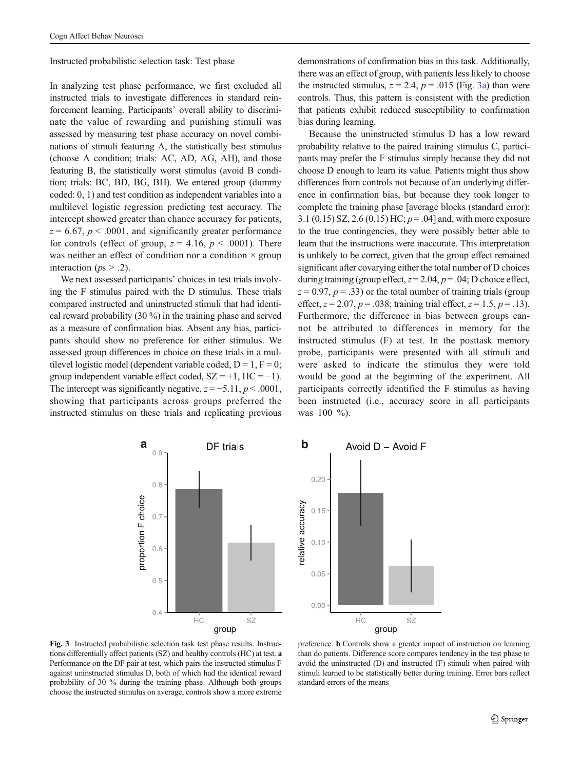<span id="page-6-0"></span>Instructed probabilistic selection task: Test phase

In analyzing test phase performance, we first excluded all instructed trials to investigate differences in standard reinforcement learning. Participants' overall ability to discriminate the value of rewarding and punishing stimuli was assessed by measuring test phase accuracy on novel combinations of stimuli featuring A, the statistically best stimulus (choose A condition; trials: AC, AD, AG, AH), and those featuring B, the statistically worst stimulus (avoid B condition; trials: BC, BD, BG, BH). We entered group (dummy coded: 0, 1) and test condition as independent variables into a multilevel logistic regression predicting test accuracy. The intercept showed greater than chance accuracy for patients,  $z = 6.67$ ,  $p < .0001$ , and significantly greater performance for controls (effect of group,  $z = 4.16$ ,  $p < .0001$ ). There was neither an effect of condition nor a condition  $\times$  group interaction ( $ps > .2$ ).

We next assessed participants' choices in test trials involving the F stimulus paired with the D stimulus. These trials compared instructed and uninstructed stimuli that had identical reward probability (30 %) in the training phase and served as a measure of confirmation bias. Absent any bias, participants should show no preference for either stimulus. We assessed group differences in choice on these trials in a multilevel logistic model (dependent variable coded,  $D = 1$ ,  $F = 0$ ; group independent variable effect coded,  $SZ = +1$ ,  $HC = -1$ ). The intercept was significantly negative,  $z = -5.11$ ,  $p < .0001$ , showing that participants across groups preferred the instructed stimulus on these trials and replicating previous

demonstrations of confirmation bias in this task. Additionally, there was an effect of group, with patients less likely to choose the instructed stimulus,  $z = 2.4$ ,  $p = .015$  (Fig. 3a) than were controls. Thus, this pattern is consistent with the prediction that patients exhibit reduced susceptibility to confirmation bias during learning.

Because the uninstructed stimulus D has a low reward probability relative to the paired training stimulus C, participants may prefer the F stimulus simply because they did not choose D enough to learn its value. Patients might thus show differences from controls not because of an underlying difference in confirmation bias, but because they took longer to complete the training phase [average blocks (standard error): 3.1 (0.15) SZ, 2.6 (0.15) HC;  $p = .04$ ] and, with more exposure to the true contingencies, they were possibly better able to learn that the instructions were inaccurate. This interpretation is unlikely to be correct, given that the group effect remained significant after covarying either the total number of D choices during training (group effect,  $z = 2.04$ ,  $p = .04$ ; D choice effect,  $z = 0.97$ ,  $p = .33$ ) or the total number of training trials (group effect,  $z = 2.07$ ,  $p = .038$ ; training trial effect,  $z = 1.5$ ,  $p = .13$ ). Furthermore, the difference in bias between groups cannot be attributed to differences in memory for the instructed stimulus (F) at test. In the posttask memory probe, participants were presented with all stimuli and were asked to indicate the stimulus they were told would be good at the beginning of the experiment. All participants correctly identified the F stimulus as having been instructed (i.e., accuracy score in all participants was 100 %).





Fig. 3 Instructed probabilistic selection task test phase results. Instructions differentially affect patients (SZ) and healthy controls (HC) at test. a Performance on the DF pair at test, which pairs the instructed stimulus F against uninstructed stimulus D, both of which had the identical reward probability of 30 % during the training phase. Although both groups choose the instructed stimulus on average, controls show a more extreme

preference. b Controls show a greater impact of instruction on learning than do patients. Difference score compares tendency in the test phase to avoid the uninstructed (D) and instructed (F) stimuli when paired with stimuli learned to be statistically better during training. Error bars reflect standard errors of the means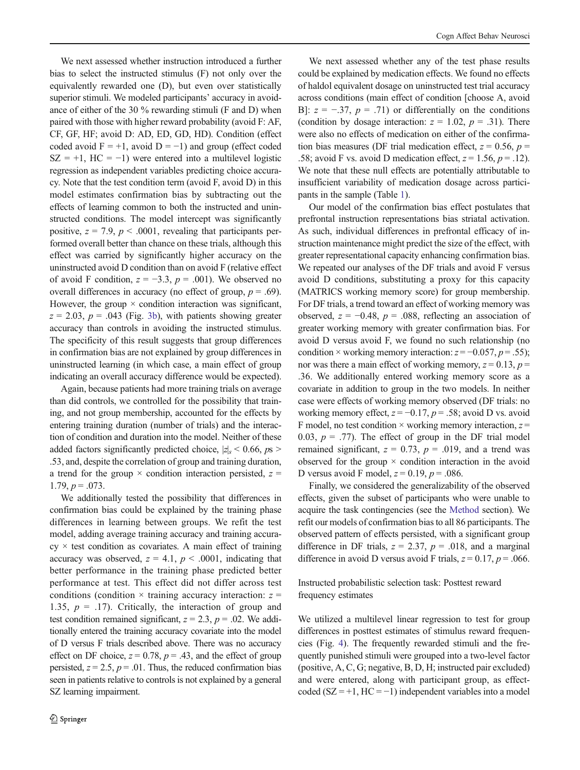We next assessed whether instruction introduced a further bias to select the instructed stimulus (F) not only over the equivalently rewarded one (D), but even over statistically superior stimuli. We modeled participants' accuracy in avoidance of either of the 30 % rewarding stimuli (F and D) when paired with those with higher reward probability (avoid F: AF, CF, GF, HF; avoid D: AD, ED, GD, HD). Condition (effect coded avoid  $F = +1$ , avoid  $D = -1$ ) and group (effect coded  $SZ = +1$ ,  $HC = -1$ ) were entered into a multilevel logistic regression as independent variables predicting choice accuracy. Note that the test condition term (avoid F, avoid D) in this model estimates confirmation bias by subtracting out the effects of learning common to both the instructed and uninstructed conditions. The model intercept was significantly positive,  $z = 7.9$ ,  $p < .0001$ , revealing that participants performed overall better than chance on these trials, although this effect was carried by significantly higher accuracy on the uninstructed avoid D condition than on avoid F (relative effect of avoid F condition,  $z = -3.3$ ,  $p = .001$ ). We observed no overall differences in accuracy (no effect of group,  $p = .69$ ). However, the group  $\times$  condition interaction was significant,  $z = 2.03$ ,  $p = .043$  (Fig. [3b](#page-6-0)), with patients showing greater accuracy than controls in avoiding the instructed stimulus. The specificity of this result suggests that group differences in confirmation bias are not explained by group differences in uninstructed learning (in which case, a main effect of group indicating an overall accuracy difference would be expected).

Again, because patients had more training trials on average than did controls, we controlled for the possibility that training, and not group membership, accounted for the effects by entering training duration (number of trials) and the interaction of condition and duration into the model. Neither of these added factors significantly predicted choice,  $|z|_s < 0.66$ ,  $p_s >$ .53, and, despite the correlation of group and training duration, a trend for the group  $\times$  condition interaction persisted,  $z =$ 1.79,  $p = .073$ .

We additionally tested the possibility that differences in confirmation bias could be explained by the training phase differences in learning between groups. We refit the test model, adding average training accuracy and training accura $cy \times$  test condition as covariates. A main effect of training accuracy was observed,  $z = 4.1$ ,  $p < .0001$ , indicating that better performance in the training phase predicted better performance at test. This effect did not differ across test conditions (condition  $\times$  training accuracy interaction:  $z =$ 1.35,  $p = .17$ ). Critically, the interaction of group and test condition remained significant,  $z = 2.3$ ,  $p = .02$ . We additionally entered the training accuracy covariate into the model of D versus F trials described above. There was no accuracy effect on DF choice,  $z = 0.78$ ,  $p = .43$ , and the effect of group persisted,  $z = 2.5$ ,  $p = .01$ . Thus, the reduced confirmation bias seen in patients relative to controls is not explained by a general SZ learning impairment.

We next assessed whether any of the test phase results could be explained by medication effects. We found no effects of haldol equivalent dosage on uninstructed test trial accuracy across conditions (main effect of condition [choose A, avoid B]:  $z = -.37$ ,  $p = .71$ ) or differentially on the conditions (condition by dosage interaction:  $z = 1.02$ ,  $p = .31$ ). There were also no effects of medication on either of the confirmation bias measures (DF trial medication effect,  $z = 0.56$ ,  $p =$ .58; avoid F vs. avoid D medication effect,  $z = 1.56$ ,  $p = .12$ ). We note that these null effects are potentially attributable to insufficient variability of medication dosage across participants in the sample (Table [1\)](#page-4-0).

Our model of the confirmation bias effect postulates that prefrontal instruction representations bias striatal activation. As such, individual differences in prefrontal efficacy of instruction maintenance might predict the size of the effect, with greater representational capacity enhancing confirmation bias. We repeated our analyses of the DF trials and avoid F versus avoid D conditions, substituting a proxy for this capacity (MATRICS working memory score) for group membership. For DF trials, a trend toward an effect of working memory was observed,  $z = -0.48$ ,  $p = .088$ , reflecting an association of greater working memory with greater confirmation bias. For avoid D versus avoid F, we found no such relationship (no condition × working memory interaction:  $z = -0.057$ ,  $p = .55$ ); nor was there a main effect of working memory,  $z = 0.13$ ,  $p =$ .36. We additionally entered working memory score as a covariate in addition to group in the two models. In neither case were effects of working memory observed (DF trials: no working memory effect,  $z = -0.17$ ,  $p = .58$ ; avoid D vs. avoid F model, no test condition  $\times$  working memory interaction,  $z =$ 0.03,  $p = .77$ ). The effect of group in the DF trial model remained significant,  $z = 0.73$ ,  $p = .019$ , and a trend was observed for the group  $\times$  condition interaction in the avoid D versus avoid F model,  $z = 0.19$ ,  $p = .086$ .

Finally, we considered the generalizability of the observed effects, given the subset of participants who were unable to acquire the task contingencies (see the [Method](#page-2-0) section). We refit our models of confirmation bias to all 86 participants. The observed pattern of effects persisted, with a significant group difference in DF trials,  $z = 2.37$ ,  $p = .018$ , and a marginal difference in avoid D versus avoid F trials,  $z = 0.17$ ,  $p = .066$ .

Instructed probabilistic selection task: Posttest reward frequency estimates

We utilized a multilevel linear regression to test for group differences in posttest estimates of stimulus reward frequencies (Fig. [4\)](#page-8-0). The frequently rewarded stimuli and the frequently punished stimuli were grouped into a two-level factor (positive, A, C, G; negative, B, D, H; instructed pair excluded) and were entered, along with participant group, as effectcoded ( $SZ = +1$ ,  $HC = -1$ ) independent variables into a model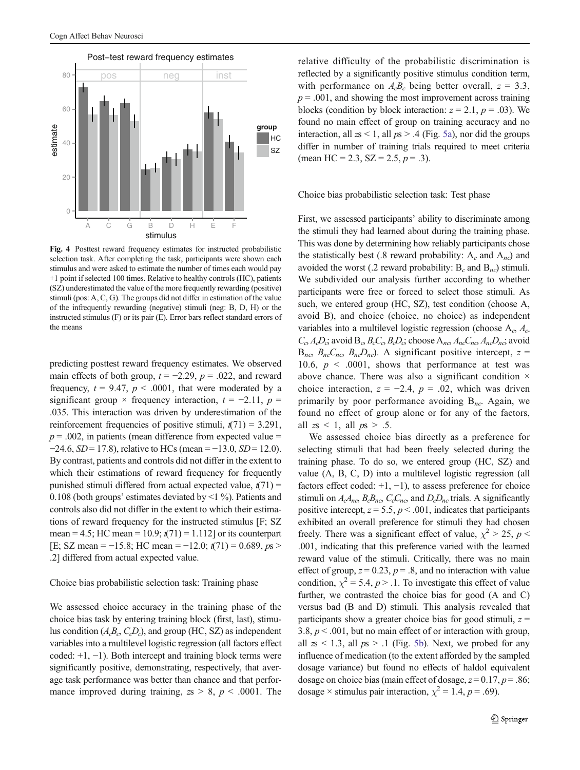<span id="page-8-0"></span>

Fig. 4 Posttest reward frequency estimates for instructed probabilistic selection task. After completing the task, participants were shown each stimulus and were asked to estimate the number of times each would pay +1 point if selected 100 times. Relative to healthy controls (HC), patients (SZ) underestimated the value of the more frequently rewarding (positive) stimuli (pos: A, C, G). The groups did not differ in estimation of the value of the infrequently rewarding (negative) stimuli (neg: B, D, H) or the instructed stimulus (F) or its pair (E). Error bars reflect standard errors of the means

predicting posttest reward frequency estimates. We observed main effects of both group,  $t = -2.29$ ,  $p = .022$ , and reward frequency,  $t = 9.47$ ,  $p < .0001$ , that were moderated by a significant group × frequency interaction,  $t = -2.11$ ,  $p =$ .035. This interaction was driven by underestimation of the reinforcement frequencies of positive stimuli,  $t(71) = 3.291$ ,  $p = .002$ , in patients (mean difference from expected value =  $-24.6$ ,  $SD = 17.8$ ), relative to HCs (mean =  $-13.0$ ,  $SD = 12.0$ ). By contrast, patients and controls did not differ in the extent to which their estimations of reward frequency for frequently punished stimuli differed from actual expected value,  $t(71) =$ 0.108 (both groups' estimates deviated by <1 %). Patients and controls also did not differ in the extent to which their estimations of reward frequency for the instructed stimulus [F; SZ mean = 4.5; HC mean = 10.9;  $t(71)$  = 1.112] or its counterpart [E; SZ mean =  $-15.8$ ; HC mean =  $-12.0$ ;  $t(71) = 0.689$ ,  $ps >$ .2] differed from actual expected value.

## Choice bias probabilistic selection task: Training phase

We assessed choice accuracy in the training phase of the choice bias task by entering training block (first, last), stimulus condition  $(A<sub>c</sub>B<sub>c</sub>, C<sub>c</sub>D<sub>c</sub>)$ , and group (HC, SZ) as independent variables into a multilevel logistic regression (all factors effect coded: +1, −1). Both intercept and training block terms were significantly positive, demonstrating, respectively, that average task performance was better than chance and that performance improved during training,  $z_s > 8$ ,  $p < .0001$ . The relative difficulty of the probabilistic discrimination is reflected by a significantly positive stimulus condition term, with performance on  $A<sub>c</sub>B<sub>c</sub>$  being better overall,  $z = 3.3$ ,  $p = .001$ , and showing the most improvement across training blocks (condition by block interaction:  $z = 2.1$ ,  $p = .03$ ). We found no main effect of group on training accuracy and no interaction, all  $z_s < 1$ , all  $p_s > .4$  (Fig. [5a](#page-9-0)), nor did the groups differ in number of training trials required to meet criteria (mean HC = 2.3,  $SZ = 2.5, p = .3$ ).

## Choice bias probabilistic selection task: Test phase

First, we assessed participants' ability to discriminate among the stimuli they had learned about during the training phase. This was done by determining how reliably participants chose the statistically best (.8 reward probability:  $A_c$  and  $A_{nc}$ ) and avoided the worst (.2 reward probability:  $B_c$  and  $B_{nc}$ ) stimuli. We subdivided our analysis further according to whether participants were free or forced to select those stimuli. As such, we entered group (HC, SZ), test condition (choose A, avoid B), and choice (choice, no choice) as independent variables into a multilevel logistic regression (choose  $A_c$ ,  $A_c$ )  $C_c$ ,  $A_cD_c$ ; avoid  $B_c$ ,  $B_cC_c$ ,  $B_cD_c$ ; choose  $A_{nc}A_{nc}C_{nc}$ ,  $A_{nc}D_{nc}$ ; avoid  $B_{nc}$ ,  $B_{nc}C_{nc}$ ,  $B_{nc}D_{nc}$ ). A significant positive intercept,  $z =$ 10.6,  $p \le 0.0001$ , shows that performance at test was above chance. There was also a significant condition × choice interaction,  $z = -2.4$ ,  $p = .02$ , which was driven primarily by poor performance avoiding  $B_{nc}$ . Again, we found no effect of group alone or for any of the factors, all  $zs < 1$ , all  $ps > .5$ .

We assessed choice bias directly as a preference for selecting stimuli that had been freely selected during the training phase. To do so, we entered group (HC, SZ) and value (A, B, C, D) into a multilevel logistic regression (all factors effect coded:  $+1$ ,  $-1$ ), to assess preference for choice stimuli on  $A_cA_{nc}$ ,  $B_cB_{nc}$ ,  $C_cC_{nc}$ , and  $D_cD_{nc}$  trials. A significantly positive intercept,  $z = 5.5$ ,  $p < .001$ , indicates that participants exhibited an overall preference for stimuli they had chosen freely. There was a significant effect of value,  $\chi^2 > 25$ ,  $p <$ .001, indicating that this preference varied with the learned reward value of the stimuli. Critically, there was no main effect of group,  $z = 0.23$ ,  $p = .8$ , and no interaction with value condition,  $\chi^2 = 5.4$ ,  $p > 1$ . To investigate this effect of value further, we contrasted the choice bias for good (A and C) versus bad (B and D) stimuli. This analysis revealed that participants show a greater choice bias for good stimuli,  $z =$ 3.8,  $p < .001$ , but no main effect of or interaction with group, all  $z_s$  < 1.3, all  $p_s$  > .1 (Fig. [5b](#page-9-0)). Next, we probed for any influence of medication (to the extent afforded by the sampled dosage variance) but found no effects of haldol equivalent dosage on choice bias (main effect of dosage,  $z = 0.17$ ,  $p = .86$ ; dosage × stimulus pair interaction,  $\chi^2 = 1.4$ ,  $p = .69$ ).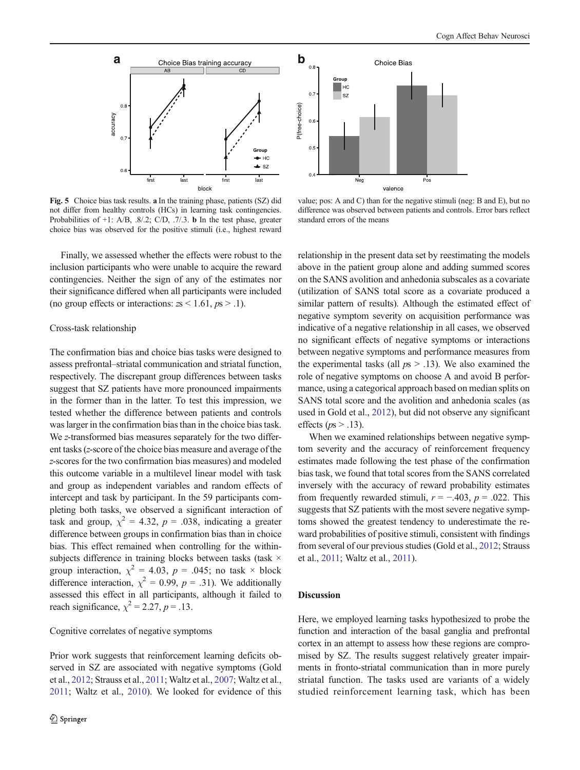<span id="page-9-0"></span>

Fig. 5 Choice bias task results. a In the training phase, patients (SZ) did not differ from healthy controls (HCs) in learning task contingencies. Probabilities of +1: A/B, .8/.2; C/D, .7/.3. b In the test phase, greater choice bias was observed for the positive stimuli (i.e., highest reward

Finally, we assessed whether the effects were robust to the inclusion participants who were unable to acquire the reward contingencies. Neither the sign of any of the estimates nor their significance differed when all participants were included (no group effects or interactions:  $zs < 1.61$ ,  $ps > .1$ ).

## Cross-task relationship

The confirmation bias and choice bias tasks were designed to assess prefrontal–striatal communication and striatal function, respectively. The discrepant group differences between tasks suggest that SZ patients have more pronounced impairments in the former than in the latter. To test this impression, we tested whether the difference between patients and controls was larger in the confirmation bias than in the choice bias task. We z-transformed bias measures separately for the two different tasks (z-score of the choice bias measure and average of the z-scores for the two confirmation bias measures) and modeled this outcome variable in a multilevel linear model with task and group as independent variables and random effects of intercept and task by participant. In the 59 participants completing both tasks, we observed a significant interaction of task and group,  $\chi^2 = 4.32$ ,  $p = .038$ , indicating a greater difference between groups in confirmation bias than in choice bias. This effect remained when controlling for the withinsubjects difference in training blocks between tasks (task  $\times$ group interaction,  $\chi^2$  = 4.03, p = .045; no task  $\times$  block difference interaction,  $\chi^2 = 0.99$ ,  $p = .31$ ). We additionally assessed this effect in all participants, although it failed to reach significance,  $\chi^2 = 2.27$ ,  $p = .13$ .

## Cognitive correlates of negative symptoms

Prior work suggests that reinforcement learning deficits observed in SZ are associated with negative symptoms (Gold et al., [2012](#page-13-0); Strauss et al., [2011](#page-13-0); Waltz et al., [2007;](#page-13-0) Waltz et al., [2011](#page-13-0); Waltz et al., [2010\)](#page-13-0). We looked for evidence of this



value; pos: A and C) than for the negative stimuli (neg: B and E), but no difference was observed between patients and controls. Error bars reflect standard errors of the means

relationship in the present data set by reestimating the models above in the patient group alone and adding summed scores on the SANS avolition and anhedonia subscales as a covariate (utilization of SANS total score as a covariate produced a similar pattern of results). Although the estimated effect of negative symptom severity on acquisition performance was indicative of a negative relationship in all cases, we observed no significant effects of negative symptoms or interactions between negative symptoms and performance measures from the experimental tasks (all  $p_s > .13$ ). We also examined the role of negative symptoms on choose A and avoid B performance, using a categorical approach based on median splits on SANS total score and the avolition and anhedonia scales (as used in Gold et al., [2012\)](#page-13-0), but did not observe any significant effects ( $p_s$  > .13).

When we examined relationships between negative symptom severity and the accuracy of reinforcement frequency estimates made following the test phase of the confirmation bias task, we found that total scores from the SANS correlated inversely with the accuracy of reward probability estimates from frequently rewarded stimuli,  $r = -.403$ ,  $p = .022$ . This suggests that SZ patients with the most severe negative symptoms showed the greatest tendency to underestimate the reward probabilities of positive stimuli, consistent with findings from several of our previous studies (Gold et al., [2012;](#page-13-0) Strauss et al., [2011](#page-13-0); Waltz et al., [2011\)](#page-13-0).

## Discussion

Here, we employed learning tasks hypothesized to probe the function and interaction of the basal ganglia and prefrontal cortex in an attempt to assess how these regions are compromised by SZ. The results suggest relatively greater impairments in fronto-striatal communication than in more purely striatal function. The tasks used are variants of a widely studied reinforcement learning task, which has been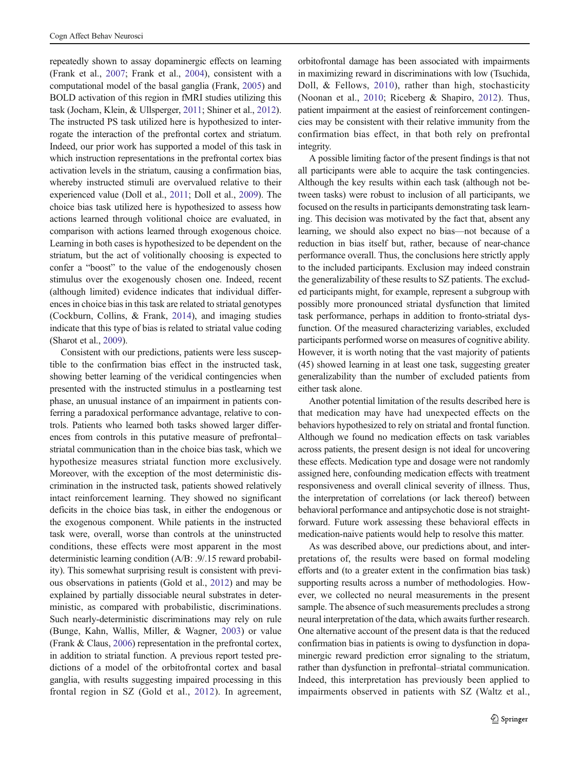repeatedly shown to assay dopaminergic effects on learning (Frank et al., [2007;](#page-12-0) Frank et al., [2004\)](#page-12-0), consistent with a computational model of the basal ganglia (Frank, [2005\)](#page-12-0) and BOLD activation of this region in fMRI studies utilizing this task (Jocham, Klein, & Ullsperger, [2011;](#page-13-0) Shiner et al., [2012\)](#page-13-0). The instructed PS task utilized here is hypothesized to interrogate the interaction of the prefrontal cortex and striatum. Indeed, our prior work has supported a model of this task in which instruction representations in the prefrontal cortex bias activation levels in the striatum, causing a confirmation bias, whereby instructed stimuli are overvalued relative to their experienced value (Doll et al., [2011;](#page-12-0) Doll et al., [2009](#page-12-0)). The choice bias task utilized here is hypothesized to assess how actions learned through volitional choice are evaluated, in comparison with actions learned through exogenous choice. Learning in both cases is hypothesized to be dependent on the striatum, but the act of volitionally choosing is expected to confer a "boost" to the value of the endogenously chosen stimulus over the exogenously chosen one. Indeed, recent (although limited) evidence indicates that individual differences in choice bias in this task are related to striatal genotypes (Cockburn, Collins, & Frank, [2014\)](#page-12-0), and imaging studies indicate that this type of bias is related to striatal value coding (Sharot et al., [2009\)](#page-13-0).

Consistent with our predictions, patients were less susceptible to the confirmation bias effect in the instructed task, showing better learning of the veridical contingencies when presented with the instructed stimulus in a postlearning test phase, an unusual instance of an impairment in patients conferring a paradoxical performance advantage, relative to controls. Patients who learned both tasks showed larger differences from controls in this putative measure of prefrontal– striatal communication than in the choice bias task, which we hypothesize measures striatal function more exclusively. Moreover, with the exception of the most deterministic discrimination in the instructed task, patients showed relatively intact reinforcement learning. They showed no significant deficits in the choice bias task, in either the endogenous or the exogenous component. While patients in the instructed task were, overall, worse than controls at the uninstructed conditions, these effects were most apparent in the most deterministic learning condition (A/B: .9/.15 reward probability). This somewhat surprising result is consistent with previous observations in patients (Gold et al., [2012\)](#page-13-0) and may be explained by partially dissociable neural substrates in deterministic, as compared with probabilistic, discriminations. Such nearly-deterministic discriminations may rely on rule (Bunge, Kahn, Wallis, Miller, & Wagner, [2003\)](#page-12-0) or value (Frank & Claus, [2006\)](#page-12-0) representation in the prefrontal cortex, in addition to striatal function. A previous report tested predictions of a model of the orbitofrontal cortex and basal ganglia, with results suggesting impaired processing in this frontal region in SZ (Gold et al., [2012\)](#page-13-0). In agreement, orbitofrontal damage has been associated with impairments in maximizing reward in discriminations with low (Tsuchida, Doll, & Fellows, [2010\)](#page-13-0), rather than high, stochasticity (Noonan et al., [2010;](#page-13-0) Riceberg & Shapiro, [2012\)](#page-13-0). Thus, patient impairment at the easiest of reinforcement contingencies may be consistent with their relative immunity from the confirmation bias effect, in that both rely on prefrontal integrity.

A possible limiting factor of the present findings is that not all participants were able to acquire the task contingencies. Although the key results within each task (although not between tasks) were robust to inclusion of all participants, we focused on the results in participants demonstrating task learning. This decision was motivated by the fact that, absent any learning, we should also expect no bias—not because of a reduction in bias itself but, rather, because of near-chance performance overall. Thus, the conclusions here strictly apply to the included participants. Exclusion may indeed constrain the generalizability of these results to SZ patients. The excluded participants might, for example, represent a subgroup with possibly more pronounced striatal dysfunction that limited task performance, perhaps in addition to fronto-striatal dysfunction. Of the measured characterizing variables, excluded participants performed worse on measures of cognitive ability. However, it is worth noting that the vast majority of patients (45) showed learning in at least one task, suggesting greater generalizability than the number of excluded patients from either task alone.

Another potential limitation of the results described here is that medication may have had unexpected effects on the behaviors hypothesized to rely on striatal and frontal function. Although we found no medication effects on task variables across patients, the present design is not ideal for uncovering these effects. Medication type and dosage were not randomly assigned here, confounding medication effects with treatment responsiveness and overall clinical severity of illness. Thus, the interpretation of correlations (or lack thereof) between behavioral performance and antipsychotic dose is not straightforward. Future work assessing these behavioral effects in medication-naive patients would help to resolve this matter.

As was described above, our predictions about, and interpretations of, the results were based on formal modeling efforts and (to a greater extent in the confirmation bias task) supporting results across a number of methodologies. However, we collected no neural measurements in the present sample. The absence of such measurements precludes a strong neural interpretation of the data, which awaits further research. One alternative account of the present data is that the reduced confirmation bias in patients is owing to dysfunction in dopaminergic reward prediction error signaling to the striatum, rather than dysfunction in prefrontal–striatal communication. Indeed, this interpretation has previously been applied to impairments observed in patients with SZ (Waltz et al.,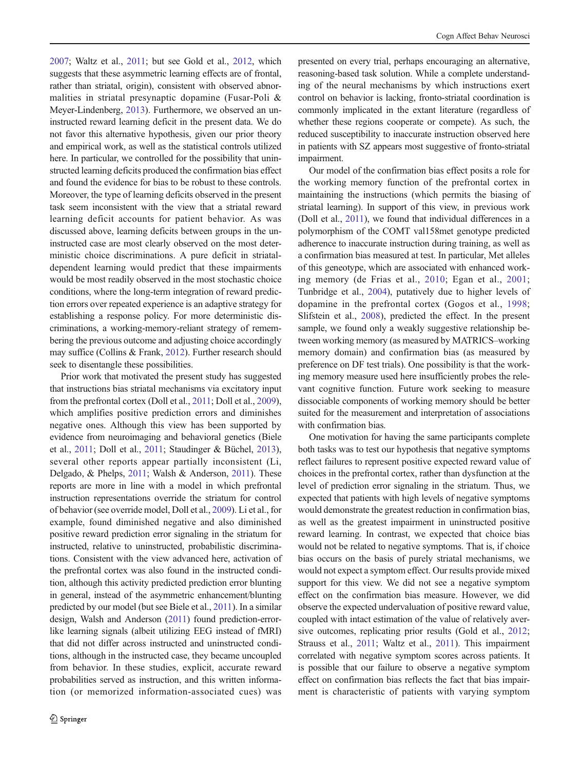[2007;](#page-13-0) Waltz et al., [2011;](#page-13-0) but see Gold et al., [2012,](#page-13-0) which suggests that these asymmetric learning effects are of frontal, rather than striatal, origin), consistent with observed abnormalities in striatal presynaptic dopamine (Fusar-Poli & Meyer-Lindenberg, [2013\)](#page-13-0). Furthermore, we observed an uninstructed reward learning deficit in the present data. We do not favor this alternative hypothesis, given our prior theory and empirical work, as well as the statistical controls utilized here. In particular, we controlled for the possibility that uninstructed learning deficits produced the confirmation bias effect and found the evidence for bias to be robust to these controls. Moreover, the type of learning deficits observed in the present task seem inconsistent with the view that a striatal reward learning deficit accounts for patient behavior. As was discussed above, learning deficits between groups in the uninstructed case are most clearly observed on the most deterministic choice discriminations. A pure deficit in striataldependent learning would predict that these impairments would be most readily observed in the most stochastic choice conditions, where the long-term integration of reward prediction errors over repeated experience is an adaptive strategy for establishing a response policy. For more deterministic discriminations, a working-memory-reliant strategy of remembering the previous outcome and adjusting choice accordingly may suffice (Collins & Frank, [2012\)](#page-12-0). Further research should seek to disentangle these possibilities.

Prior work that motivated the present study has suggested that instructions bias striatal mechanisms via excitatory input from the prefrontal cortex (Doll et al., [2011;](#page-12-0) Doll et al., [2009\)](#page-12-0), which amplifies positive prediction errors and diminishes negative ones. Although this view has been supported by evidence from neuroimaging and behavioral genetics (Biele et al., [2011;](#page-12-0) Doll et al., [2011;](#page-12-0) Staudinger & Büchel, [2013\)](#page-13-0), several other reports appear partially inconsistent (Li, Delgado, & Phelps, [2011;](#page-13-0) Walsh & Anderson, [2011](#page-13-0)). These reports are more in line with a model in which prefrontal instruction representations override the striatum for control of behavior (see override model, Doll et al., [2009\)](#page-12-0). Li et al., for example, found diminished negative and also diminished positive reward prediction error signaling in the striatum for instructed, relative to uninstructed, probabilistic discriminations. Consistent with the view advanced here, activation of the prefrontal cortex was also found in the instructed condition, although this activity predicted prediction error blunting in general, instead of the asymmetric enhancement/blunting predicted by our model (but see Biele et al., [2011](#page-12-0)). In a similar design, Walsh and Anderson ([2011](#page-13-0)) found prediction-errorlike learning signals (albeit utilizing EEG instead of fMRI) that did not differ across instructed and uninstructed conditions, although in the instructed case, they became uncoupled from behavior. In these studies, explicit, accurate reward probabilities served as instruction, and this written information (or memorized information-associated cues) was

presented on every trial, perhaps encouraging an alternative, reasoning-based task solution. While a complete understanding of the neural mechanisms by which instructions exert control on behavior is lacking, fronto-striatal coordination is commonly implicated in the extant literature (regardless of whether these regions cooperate or compete). As such, the reduced susceptibility to inaccurate instruction observed here in patients with SZ appears most suggestive of fronto-striatal impairment.

Our model of the confirmation bias effect posits a role for the working memory function of the prefrontal cortex in maintaining the instructions (which permits the biasing of striatal learning). In support of this view, in previous work (Doll et al., [2011\)](#page-12-0), we found that individual differences in a polymorphism of the COMT val158met genotype predicted adherence to inaccurate instruction during training, as well as a confirmation bias measured at test. In particular, Met alleles of this geneotype, which are associated with enhanced working memory (de Frias et al., [2010](#page-12-0); Egan et al., [2001;](#page-12-0) Tunbridge et al., [2004](#page-13-0)), putatively due to higher levels of dopamine in the prefrontal cortex (Gogos et al., [1998;](#page-13-0) Slifstein et al., [2008\)](#page-13-0), predicted the effect. In the present sample, we found only a weakly suggestive relationship between working memory (as measured by MATRICS–working memory domain) and confirmation bias (as measured by preference on DF test trials). One possibility is that the working memory measure used here insufficiently probes the relevant cognitive function. Future work seeking to measure dissociable components of working memory should be better suited for the measurement and interpretation of associations with confirmation bias.

One motivation for having the same participants complete both tasks was to test our hypothesis that negative symptoms reflect failures to represent positive expected reward value of choices in the prefrontal cortex, rather than dysfunction at the level of prediction error signaling in the striatum. Thus, we expected that patients with high levels of negative symptoms would demonstrate the greatest reduction in confirmation bias, as well as the greatest impairment in uninstructed positive reward learning. In contrast, we expected that choice bias would not be related to negative symptoms. That is, if choice bias occurs on the basis of purely striatal mechanisms, we would not expect a symptom effect. Our results provide mixed support for this view. We did not see a negative symptom effect on the confirmation bias measure. However, we did observe the expected undervaluation of positive reward value, coupled with intact estimation of the value of relatively aversive outcomes, replicating prior results (Gold et al., [2012;](#page-13-0) Strauss et al., [2011](#page-13-0); Waltz et al., [2011](#page-13-0)). This impairment correlated with negative symptom scores across patients. It is possible that our failure to observe a negative symptom effect on confirmation bias reflects the fact that bias impairment is characteristic of patients with varying symptom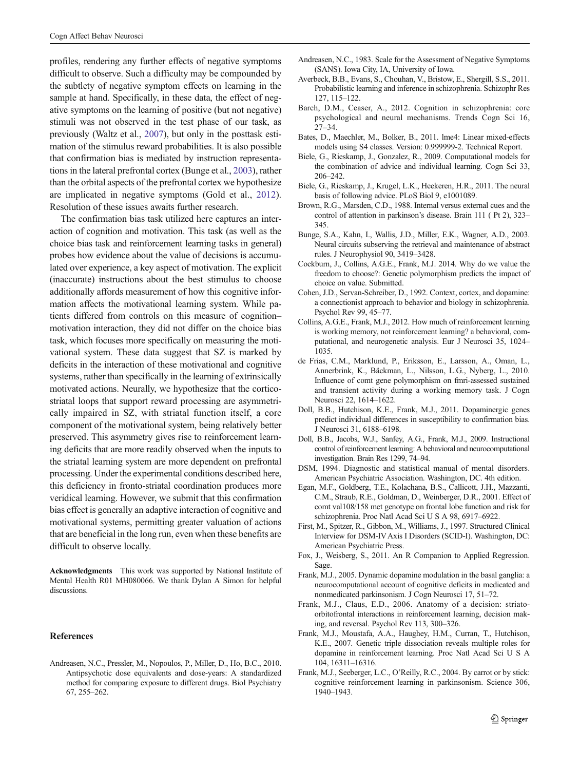<span id="page-12-0"></span>profiles, rendering any further effects of negative symptoms difficult to observe. Such a difficulty may be compounded by the subtlety of negative symptom effects on learning in the sample at hand. Specifically, in these data, the effect of negative symptoms on the learning of positive (but not negative) stimuli was not observed in the test phase of our task, as previously (Waltz et al., [2007\)](#page-13-0), but only in the posttask estimation of the stimulus reward probabilities. It is also possible that confirmation bias is mediated by instruction representations in the lateral prefrontal cortex (Bunge et al., 2003), rather than the orbital aspects of the prefrontal cortex we hypothesize are implicated in negative symptoms (Gold et al., [2012](#page-13-0)). Resolution of these issues awaits further research.

The confirmation bias task utilized here captures an interaction of cognition and motivation. This task (as well as the choice bias task and reinforcement learning tasks in general) probes how evidence about the value of decisions is accumulated over experience, a key aspect of motivation. The explicit (inaccurate) instructions about the best stimulus to choose additionally affords measurement of how this cognitive information affects the motivational learning system. While patients differed from controls on this measure of cognition– motivation interaction, they did not differ on the choice bias task, which focuses more specifically on measuring the motivational system. These data suggest that SZ is marked by deficits in the interaction of these motivational and cognitive systems, rather than specifically in the learning of extrinsically motivated actions. Neurally, we hypothesize that the corticostriatal loops that support reward processing are asymmetrically impaired in SZ, with striatal function itself, a core component of the motivational system, being relatively better preserved. This asymmetry gives rise to reinforcement learning deficits that are more readily observed when the inputs to the striatal learning system are more dependent on prefrontal processing. Under the experimental conditions described here, this deficiency in fronto-striatal coordination produces more veridical learning. However, we submit that this confirmation bias effect is generally an adaptive interaction of cognitive and motivational systems, permitting greater valuation of actions that are beneficial in the long run, even when these benefits are difficult to observe locally.

Acknowledgments This work was supported by National Institute of Mental Health R01 MH080066. We thank Dylan A Simon for helpful discussions.

## References

Andreasen, N.C., Pressler, M., Nopoulos, P., Miller, D., Ho, B.C., 2010. Antipsychotic dose equivalents and dose-years: A standardized method for comparing exposure to different drugs. Biol Psychiatry 67, 255–262.

- Andreasen, N.C., 1983. Scale for the Assessment of Negative Symptoms (SANS). Iowa City, IA, University of Iowa.
- Averbeck, B.B., Evans, S., Chouhan, V., Bristow, E., Shergill, S.S., 2011. Probabilistic learning and inference in schizophrenia. Schizophr Res 127, 115–122.
- Barch, D.M., Ceaser, A., 2012. Cognition in schizophrenia: core psychological and neural mechanisms. Trends Cogn Sci 16, 27–34.
- Bates, D., Maechler, M., Bolker, B., 2011. lme4: Linear mixed-effects models using S4 classes. Version: 0.999999-2. Technical Report.
- Biele, G., Rieskamp, J., Gonzalez, R., 2009. Computational models for the combination of advice and individual learning. Cogn Sci 33, 206–242.
- Biele, G., Rieskamp, J., Krugel, L.K., Heekeren, H.R., 2011. The neural basis of following advice. PLoS Biol 9, e1001089.
- Brown, R.G., Marsden, C.D., 1988. Internal versus external cues and the control of attention in parkinson's disease. Brain 111 ( Pt 2), 323– 345.
- Bunge, S.A., Kahn, I., Wallis, J.D., Miller, E.K., Wagner, A.D., 2003. Neural circuits subserving the retrieval and maintenance of abstract rules. J Neurophysiol 90, 3419–3428.
- Cockburn, J., Collins, A.G.E., Frank, M.J. 2014. Why do we value the freedom to choose?: Genetic polymorphism predicts the impact of choice on value. Submitted.
- Cohen, J.D., Servan-Schreiber, D., 1992. Context, cortex, and dopamine: a connectionist approach to behavior and biology in schizophrenia. Psychol Rev 99, 45–77.
- Collins, A.G.E., Frank, M.J., 2012. How much of reinforcement learning is working memory, not reinforcement learning? a behavioral, computational, and neurogenetic analysis. Eur J Neurosci 35, 1024– 1035.
- de Frias, C.M., Marklund, P., Eriksson, E., Larsson, A., Oman, L., Annerbrink, K., Bäckman, L., Nilsson, L.G., Nyberg, L., 2010. Influence of comt gene polymorphism on fmri-assessed sustained and transient activity during a working memory task. J Cogn Neurosci 22, 1614–1622.
- Doll, B.B., Hutchison, K.E., Frank, M.J., 2011. Dopaminergic genes predict individual differences in susceptibility to confirmation bias. J Neurosci 31, 6188–6198.
- Doll, B.B., Jacobs, W.J., Sanfey, A.G., Frank, M.J., 2009. Instructional control of reinforcement learning: A behavioral and neurocomputational investigation. Brain Res 1299, 74–94.
- DSM, 1994. Diagnostic and statistical manual of mental disorders. American Psychiatric Association. Washington, DC. 4th edition.
- Egan, M.F., Goldberg, T.E., Kolachana, B.S., Callicott, J.H., Mazzanti, C.M., Straub, R.E., Goldman, D., Weinberger, D.R., 2001. Effect of comt val108/158 met genotype on frontal lobe function and risk for schizophrenia. Proc Natl Acad Sci U S A 98, 6917–6922.
- First, M., Spitzer, R., Gibbon, M., Williams, J., 1997. Structured Clinical Interview for DSM-IVAxis I Disorders (SCID-I). Washington, DC: American Psychiatric Press.
- Fox, J., Weisberg, S., 2011. An R Companion to Applied Regression. Sage.
- Frank, M.J., 2005. Dynamic dopamine modulation in the basal ganglia: a neurocomputational account of cognitive deficits in medicated and nonmedicated parkinsonism. J Cogn Neurosci 17, 51–72.
- Frank, M.J., Claus, E.D., 2006. Anatomy of a decision: striatoorbitofrontal interactions in reinforcement learning, decision making, and reversal. Psychol Rev 113, 300–326.
- Frank, M.J., Moustafa, A.A., Haughey, H.M., Curran, T., Hutchison, K.E., 2007. Genetic triple dissociation reveals multiple roles for dopamine in reinforcement learning. Proc Natl Acad Sci U S A 104, 16311–16316.
- Frank, M.J., Seeberger, L.C., O'Reilly, R.C., 2004. By carrot or by stick: cognitive reinforcement learning in parkinsonism. Science 306, 1940–1943.